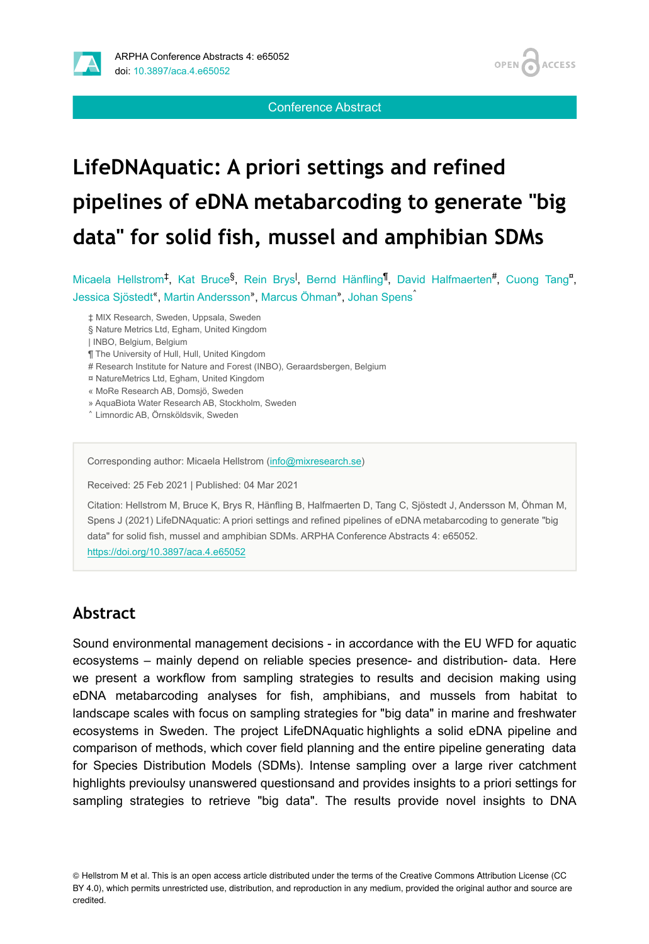



**OPEN** 

**ACCESS** 

# **LifeDNAquatic: A priori settings and refined pipelines of eDNA metabarcoding to generate "big data" for solid fish, mussel and amphibian SDMs**

Conference Abstract

Micaela Hellstrom<sup>‡</sup>, Kat Bruce<sup>§</sup>, Rein Brys<sup>I</sup>, Bernd Hänfling<sup>¶</sup>, David Halfmaerten<sup>#</sup>, Cuong Tang<sup>n</sup>, Jessica Sjöstedt<sup>«</sup>, Martin Andersson», Marcus Öhman», Johan Spens<sup>^</sup>

‡ MIX Research, Sweden, Uppsala, Sweden

| INBO, Belgium, Belgium

¶ The University of Hull, Hull, United Kingdom

# Research Institute for Nature and Forest (INBO), Geraardsbergen, Belgium

¤ NatureMetrics Ltd, Egham, United Kingdom

« MoRe Research AB, Domsjö, Sweden

» AquaBiota Water Research AB, Stockholm, Sweden

˄ Limnordic AB, Örnsköldsvik, Sweden

Corresponding author: Micaela Hellstrom [\(info@mixresearch.se](mailto:info@mixresearch.se))

Received: 25 Feb 2021 | Published: 04 Mar 2021

Citation: Hellstrom M, Bruce K, Brys R, Hänfling B, Halfmaerten D, Tang C, Sjöstedt J, Andersson M, Öhman M, Spens J (2021) LifeDNAquatic: A priori settings and refined pipelines of eDNA metabarcoding to generate "big data" for solid fish, mussel and amphibian SDMs. ARPHA Conference Abstracts 4: e65052. <https://doi.org/10.3897/aca.4.e65052>

## **Abstract**

Sound environmental management decisions - in accordance with the EU WFD for aquatic ecosystems – mainly depend on reliable species presence- and distribution- data. Here we present a workflow from sampling strategies to results and decision making using eDNA metabarcoding analyses for fish, amphibians, and mussels from habitat to landscape scales with focus on sampling strategies for "big data" in marine and freshwater ecosystems in Sweden. The project LifeDNAquatic highlights a solid eDNA pipeline and comparison of methods, which cover field planning and the entire pipeline generating data for Species Distribution Models (SDMs). Intense sampling over a large river catchment highlights previoulsy unanswered questionsand and provides insights to a priori settings for sampling strategies to retrieve "big data". The results provide novel insights to DNA

© Hellstrom M et al. This is an open access article distributed under the terms of the Creative Commons Attribution License (CC BY 4.0), which permits unrestricted use, distribution, and reproduction in any medium, provided the original author and source are credited.

<sup>§</sup> Nature Metrics Ltd, Egham, United Kingdom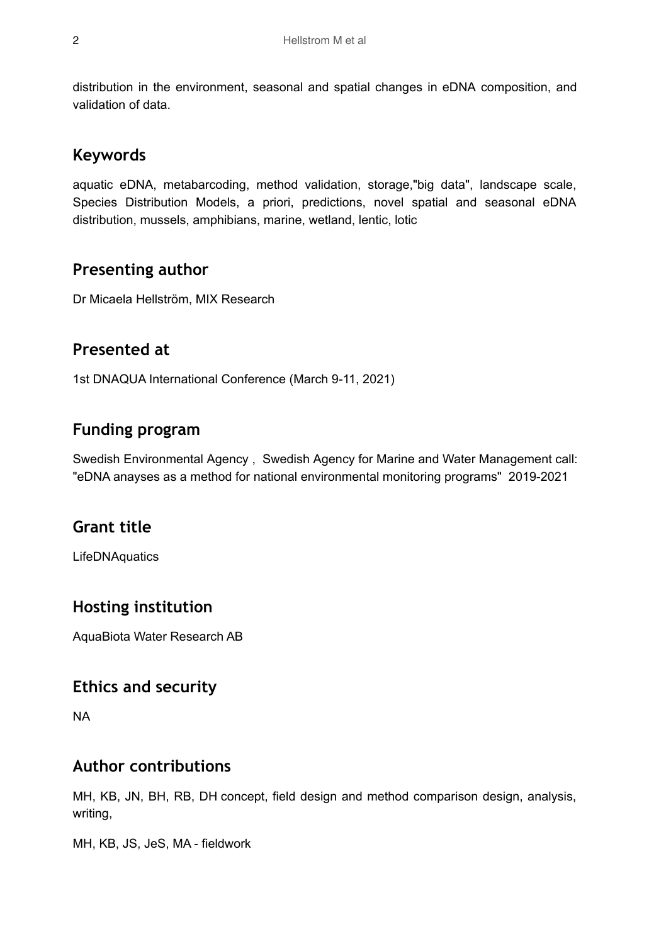distribution in the environment, seasonal and spatial changes in eDNA composition, and validation of data.

## **Keywords**

aquatic eDNA, metabarcoding, method validation, storage,"big data", landscape scale, Species Distribution Models, a priori, predictions, novel spatial and seasonal eDNA distribution, mussels, amphibians, marine, wetland, lentic, lotic

## **Presenting author**

Dr Micaela Hellström, MIX Research

## **Presented at**

1st DNAQUA International Conference (March 9-11, 2021)

## **Funding program**

Swedish Environmental Agency , Swedish Agency for Marine and Water Management call: "eDNA anayses as a method for national environmental monitoring programs" 2019-2021

### **Grant title**

LifeDNAquatics

### **Hosting institution**

AquaBiota Water Research AB

### **Ethics and security**

NA

### **Author contributions**

MH, KB, JN, BH, RB, DH concept, field design and method comparison design, analysis, writing,

MH, KB, JS, JeS, MA - fieldwork